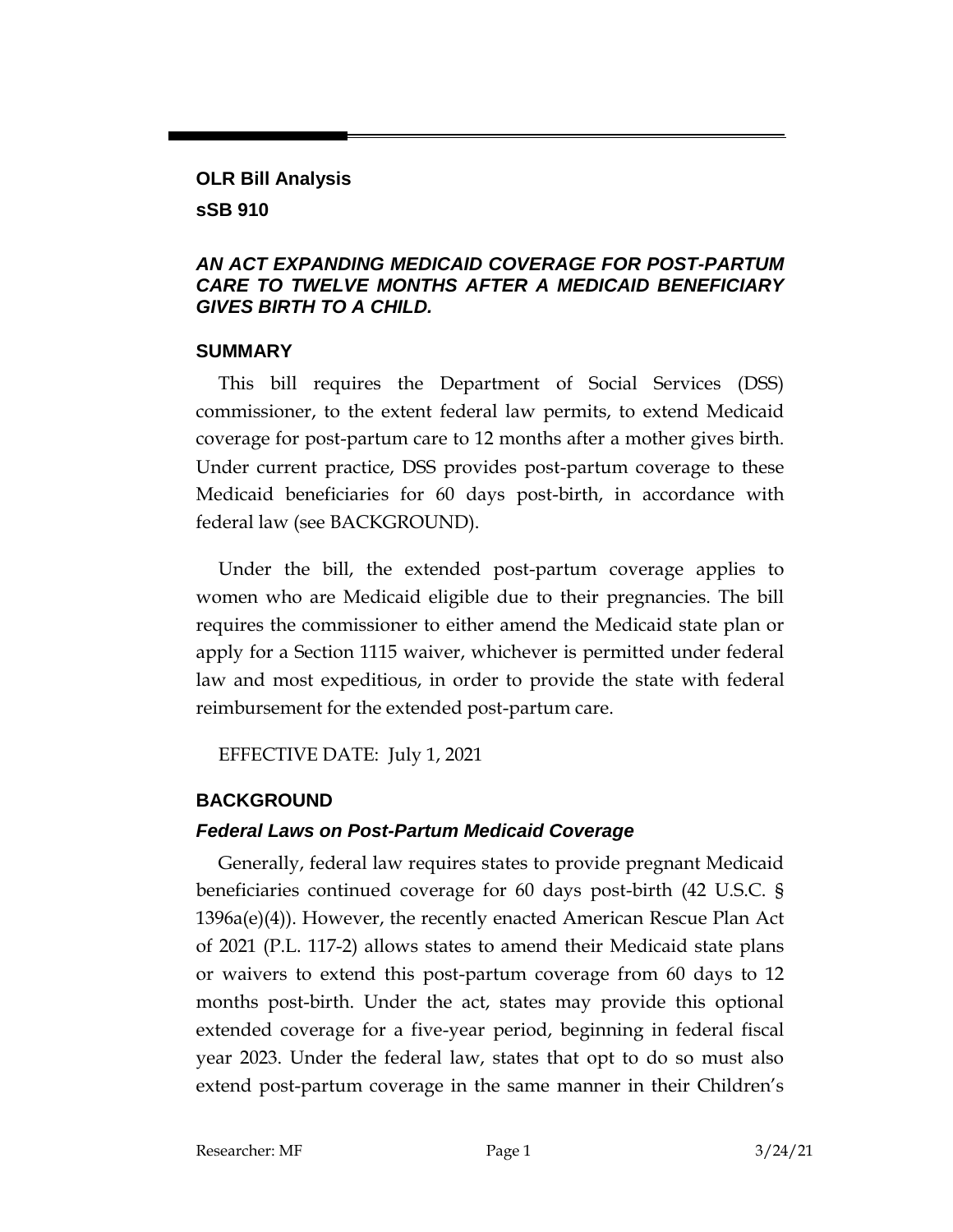### **OLR Bill Analysis sSB 910**

### *AN ACT EXPANDING MEDICAID COVERAGE FOR POST-PARTUM CARE TO TWELVE MONTHS AFTER A MEDICAID BENEFICIARY GIVES BIRTH TO A CHILD.*

## **SUMMARY**

This bill requires the Department of Social Services (DSS) commissioner, to the extent federal law permits, to extend Medicaid coverage for post-partum care to 12 months after a mother gives birth. Under current practice, DSS provides post-partum coverage to these Medicaid beneficiaries for 60 days post-birth, in accordance with federal law (see BACKGROUND).

Under the bill, the extended post-partum coverage applies to women who are Medicaid eligible due to their pregnancies. The bill requires the commissioner to either amend the Medicaid state plan or apply for a Section 1115 waiver, whichever is permitted under federal law and most expeditious, in order to provide the state with federal reimbursement for the extended post-partum care.

EFFECTIVE DATE: July 1, 2021

# **BACKGROUND**

## *Federal Laws on Post-Partum Medicaid Coverage*

Generally, federal law requires states to provide pregnant Medicaid beneficiaries continued coverage for 60 days post-birth (42 U.S.C. § 1396a(e)(4)). However, the recently enacted American Rescue Plan Act of 2021 (P.L. 117-2) allows states to amend their Medicaid state plans or waivers to extend this post-partum coverage from 60 days to 12 months post-birth. Under the act, states may provide this optional extended coverage for a five-year period, beginning in federal fiscal year 2023. Under the federal law, states that opt to do so must also extend post-partum coverage in the same manner in their Children's